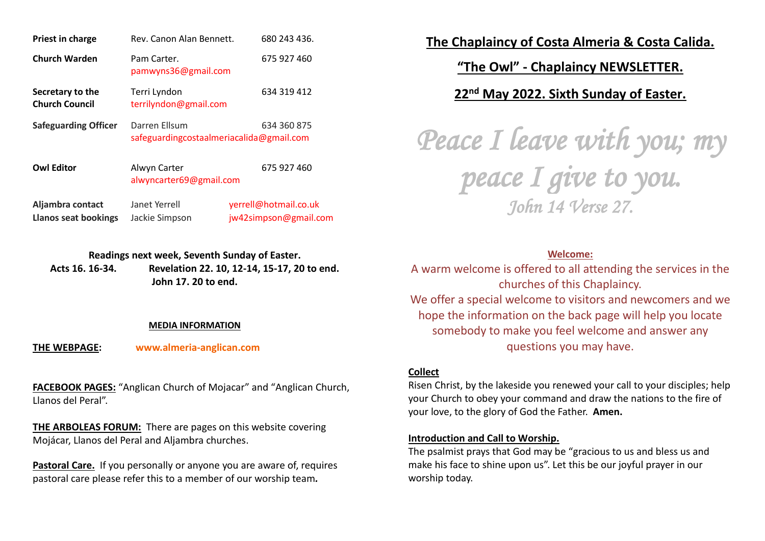| Priest in charge                          | Rev. Canon Alan Bennett.                                  | 680 243 436.          |
|-------------------------------------------|-----------------------------------------------------------|-----------------------|
| <b>Church Warden</b>                      | Pam Carter.<br>pamwyns36@gmail.com                        | 675 927 460           |
| Secretary to the<br><b>Church Council</b> | Terri Lyndon<br>terrilyndon@gmail.com                     | 634 319 412           |
| <b>Safeguarding Officer</b>               | Darren Ellsum<br>safeguardingcostaalmeriacalida@gmail.com | 634 360 875           |
| <b>Owl Editor</b>                         | Alwyn Carter<br>alwyncarter69@gmail.com                   | 675 927 460           |
| Aljambra contact                          | Janet Yerrell                                             | yerrell@hotmail.co.uk |

**Readings next week, Seventh Sunday of Easter.**

**Llanos seat bookings** Jackie Simpson [jw42simpson@gmail.com](mailto:jw42simpson@gmail.com)

**Acts 16. 16-34. Revelation 22. 10, 12-14, 15-17, 20 to end. John 17. 20 to end.**

#### **MEDIA INFORMATION**

**THE WEBPAGE: [www.almeria-anglican.com](http://www.almeria-anglican.com/)**

**FACEBOOK PAGES:** "Anglican Church of Mojacar" and "Anglican Church, Llanos del Peral".

**THE ARBOLEAS FORUM:** There are pages on this website covering Mojácar, Llanos del Peral and Aljambra churches.

**Pastoral Care.** If you personally or anyone you are aware of, requires pastoral care please refer this to a member of our worship team*.*

**The Chaplaincy of Costa Almeria & Costa Calida.**

**"The Owl" - Chaplaincy NEWSLETTER.**

**22nd May 2022. Sixth Sunday of Easter.**

*Peace I leave with you; my peace I give to you. John 14 Verse 27.* 

#### **Welcome:**

A warm welcome is offered to all attending the services in the churches of this Chaplaincy. We offer a special welcome to visitors and newcomers and we hope the information on the back page will help you locate somebody to make you feel welcome and answer any questions you may have.

#### **Collect**

Risen Christ, by the lakeside you renewed your call to your disciples; help your Church to obey your command and draw the nations to the fire of your love, to the glory of God the Father. **Amen.**

#### **Introduction and Call to Worship.**

The psalmist prays that God may be "gracious to us and bless us and make his face to shine upon us". Let this be our joyful prayer in our worship today.